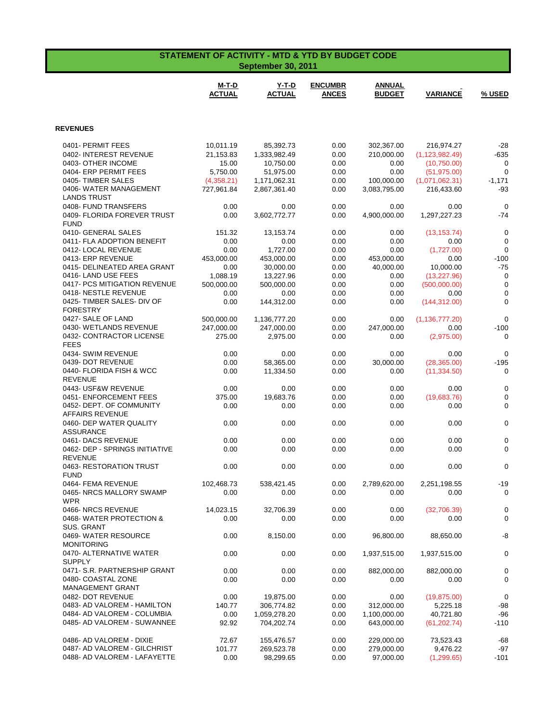| <b>STATEMENT OF ACTIVITY - MTD &amp; YTD BY BUDGET CODE</b><br><b>September 30, 2011</b> |                               |                               |                                |                                |                              |                      |
|------------------------------------------------------------------------------------------|-------------------------------|-------------------------------|--------------------------------|--------------------------------|------------------------------|----------------------|
|                                                                                          | <b>M-T-D</b><br><b>ACTUAL</b> | <u>Y-T-D</u><br><b>ACTUAL</b> | <b>ENCUMBR</b><br><b>ANCES</b> | <b>ANNUAL</b><br><b>BUDGET</b> | <b>VARIANCE</b>              | % USED               |
| <b>REVENUES</b>                                                                          |                               |                               |                                |                                |                              |                      |
| 0401- PERMIT FEES                                                                        | 10,011.19                     | 85,392.73                     | 0.00                           | 302,367.00                     | 216,974.27                   | $-28$                |
| 0402- INTEREST REVENUE                                                                   | 21,153.83                     | 1,333,982.49                  | 0.00                           | 210,000.00                     | (1, 123, 982.49)             | $-635$               |
| 0403- OTHER INCOME                                                                       | 15.00                         | 10,750.00                     | 0.00                           | 0.00                           | (10,750.00)                  | 0                    |
| 0404- ERP PERMIT FEES                                                                    | 5,750.00                      | 51,975.00                     | 0.00                           | 0.00                           | (51, 975.00)                 | $\mathbf 0$          |
| 0405-TIMBER SALES                                                                        | (4,358.21)                    | 1,171,062.31                  | 0.00                           | 100,000.00                     | (1,071,062.31)               | $-1,171$             |
| 0406- WATER MANAGEMENT                                                                   | 727,961.84                    | 2,867,361.40                  | 0.00                           | 3,083,795.00                   | 216,433.60                   | $-93$                |
| <b>LANDS TRUST</b><br>0408- FUND TRANSFERS                                               | 0.00                          | 0.00                          | 0.00                           | 0.00                           | 0.00                         | $\mathbf 0$          |
| 0409- FLORIDA FOREVER TRUST                                                              | 0.00                          | 3,602,772.77                  | 0.00                           | 4,900,000.00                   | 1,297,227.23                 | $-74$                |
| <b>FUND</b>                                                                              |                               |                               |                                |                                |                              |                      |
| 0410- GENERAL SALES                                                                      | 151.32                        | 13,153.74                     | 0.00                           | 0.00                           | (13, 153.74)                 | $\mathbf 0$          |
| 0411- FLA ADOPTION BENEFIT                                                               | 0.00                          | 0.00                          | 0.00                           | 0.00                           | 0.00                         | $\mathbf 0$          |
| 0412- LOCAL REVENUE                                                                      | 0.00                          | 1,727.00                      | 0.00                           | 0.00                           | (1,727.00)                   | $\mathbf 0$          |
| 0413- ERP REVENUE                                                                        | 453,000.00                    | 453,000.00                    | 0.00                           | 453,000.00                     | 0.00                         | $-100$               |
| 0415- DELINEATED AREA GRANT<br>0416-LAND USE FEES                                        | 0.00<br>1,088.19              | 30,000.00                     | 0.00<br>0.00                   | 40,000.00                      | 10,000.00                    | $-75$<br>$\mathbf 0$ |
| 0417- PCS MITIGATION REVENUE                                                             | 500,000.00                    | 13,227.96<br>500,000.00       | 0.00                           | 0.00<br>0.00                   | (13, 227.96)<br>(500,000.00) | $\mathbf 0$          |
| 0418-NESTLE REVENUE                                                                      | 0.00                          | 0.00                          | 0.00                           | 0.00                           | 0.00                         | $\mathbf 0$          |
| 0425- TIMBER SALES- DIV OF                                                               | 0.00                          | 144,312.00                    | 0.00                           | 0.00                           | (144, 312.00)                | $\mathbf 0$          |
| <b>FORESTRY</b>                                                                          |                               |                               |                                |                                |                              |                      |
| 0427- SALE OF LAND                                                                       | 500,000.00                    | 1,136,777.20                  | 0.00                           | 0.00                           | (1, 136, 777.20)             | $\mathbf 0$          |
| 0430- WETLANDS REVENUE                                                                   | 247,000.00                    | 247,000.00                    | 0.00                           | 247,000.00                     | 0.00                         | $-100$               |
| 0432- CONTRACTOR LICENSE<br><b>FEES</b>                                                  | 275.00                        | 2,975.00                      | 0.00                           | 0.00                           | (2,975.00)                   | 0                    |
| 0434- SWIM REVENUE                                                                       | 0.00                          | 0.00                          | 0.00                           | 0.00                           | 0.00                         | $\mathbf 0$          |
| 0439- DOT REVENUE                                                                        | 0.00                          | 58,365.00                     | 0.00                           | 30,000.00                      | (28, 365.00)                 | $-195$               |
| 0440- FLORIDA FISH & WCC                                                                 | 0.00                          | 11,334.50                     | 0.00                           | 0.00                           | (11, 334.50)                 | 0                    |
| <b>REVENUE</b>                                                                           |                               |                               |                                |                                |                              |                      |
| 0443- USF&W REVENUE                                                                      | 0.00                          | 0.00                          | 0.00                           | 0.00                           | 0.00                         | $\mathbf 0$          |
| 0451- ENFORCEMENT FEES                                                                   | 375.00                        | 19,683.76                     | 0.00                           | 0.00                           | (19,683.76)                  | $\mathbf 0$          |
| 0452- DEPT. OF COMMUNITY<br><b>AFFAIRS REVENUE</b>                                       | 0.00                          | 0.00                          | 0.00                           | 0.00                           | 0.00                         | $\mathbf 0$          |
| 0460- DEP WATER QUALITY                                                                  | 0.00                          | 0.00                          | 0.00                           | 0.00                           | 0.00                         | $\mathbf 0$          |
| <b>ASSURANCE</b>                                                                         |                               |                               |                                |                                |                              |                      |
| 0461- DACS REVENUE                                                                       | 0.00                          | 0.00                          | 0.00                           | 0.00                           | 0.00                         | $\mathbf 0$          |
| 0462- DEP - SPRINGS INITIATIVE                                                           | 0.00                          | 0.00                          | 0.00                           | 0.00                           | 0.00                         | $\mathbf 0$          |
| <b>REVENUE</b>                                                                           |                               |                               |                                |                                |                              |                      |
| 0463-RESTORATION TRUST<br><b>FUND</b>                                                    | 0.00                          | 0.00                          | 0.00                           | 0.00                           | 0.00                         | 0                    |
| 0464- FEMA REVENUE                                                                       | 102,468.73                    | 538,421.45                    | 0.00                           | 2,789,620.00                   | 2,251,198.55                 | $-19$                |
| 0465- NRCS MALLORY SWAMP                                                                 | 0.00                          | 0.00                          | 0.00                           | 0.00                           | 0.00                         | 0                    |
| <b>WPR</b>                                                                               |                               |                               |                                |                                |                              |                      |
| 0466-NRCS REVENUE                                                                        | 14,023.15                     | 32,706.39                     | 0.00                           | 0.00                           | (32,706.39)                  | 0                    |
| 0468-WATER PROTECTION &                                                                  | 0.00                          | 0.00                          | 0.00                           | 0.00                           | 0.00                         | 0                    |
| <b>SUS. GRANT</b>                                                                        |                               |                               |                                |                                |                              |                      |
| 0469- WATER RESOURCE<br><b>MONITORING</b>                                                | 0.00                          | 8,150.00                      | 0.00                           | 96,800.00                      | 88,650.00                    | -8                   |
| 0470- ALTERNATIVE WATER                                                                  | 0.00                          | 0.00                          | 0.00                           | 1,937,515.00                   | 1,937,515.00                 | $\pmb{0}$            |
| <b>SUPPLY</b>                                                                            |                               |                               |                                |                                |                              |                      |
| 0471- S.R. PARTNERSHIP GRANT                                                             | 0.00                          | 0.00                          | 0.00                           | 882,000.00                     | 882,000.00                   | 0                    |
| 0480- COASTAL ZONE                                                                       | 0.00                          | 0.00                          | 0.00                           | 0.00                           | 0.00                         | 0                    |
| <b>MANAGEMENT GRANT</b>                                                                  |                               |                               |                                |                                |                              |                      |
| 0482- DOT REVENUE                                                                        | 0.00                          | 19,875.00                     | 0.00                           | 0.00                           | (19, 875.00)                 | $\mathbf 0$          |
| 0483- AD VALOREM - HAMILTON<br>0484- AD VALOREM - COLUMBIA                               | 140.77<br>0.00                | 306,774.82<br>1,059,278.20    | 0.00<br>0.00                   | 312,000.00<br>1,100,000.00     | 5,225.18<br>40,721.80        | -98<br>$-96$         |
| 0485- AD VALOREM - SUWANNEE                                                              | 92.92                         | 704,202.74                    | 0.00                           | 643,000.00                     | (61, 202.74)                 | $-110$               |
|                                                                                          |                               |                               |                                |                                |                              |                      |
| 0486- AD VALOREM - DIXIE                                                                 | 72.67                         | 155,476.57                    | 0.00                           | 229,000.00                     | 73,523.43                    | $-68$                |
| 0487- AD VALOREM - GILCHRIST                                                             | 101.77                        | 269,523.78                    | 0.00                           | 279,000.00                     | 9,476.22                     | $-97$                |
| 0488- AD VALOREM - LAFAYETTE                                                             | 0.00                          | 98,299.65                     | 0.00                           | 97,000.00                      | (1, 299.65)                  | $-101$               |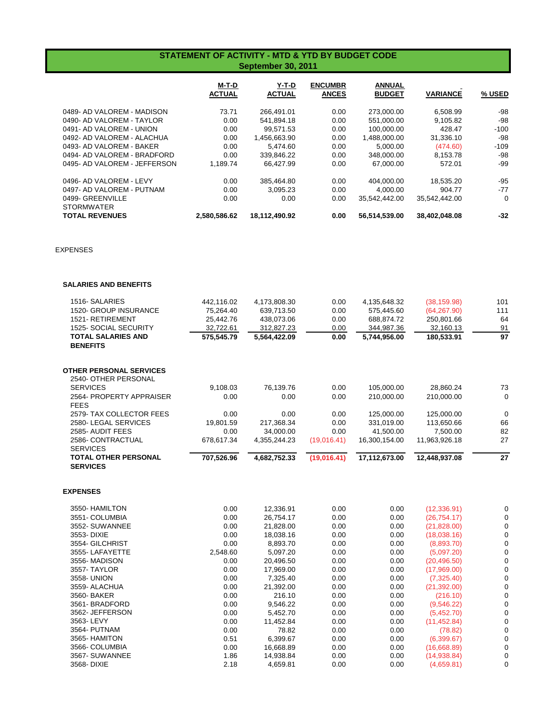## **STATEMENT OF ACTIVITY - MTD & YTD BY BUDGET CODE September 30, 2011**

|                                       | M-T-D<br><b>ACTUAL</b> | Y-T-D<br><b>ACTUAL</b> | <b>ENCUMBR</b><br><b>ANCES</b> | <b>ANNUAL</b><br><b>BUDGET</b> | <b>VARIANCE</b> | % USED |
|---------------------------------------|------------------------|------------------------|--------------------------------|--------------------------------|-----------------|--------|
| 0489- AD VALOREM - MADISON            | 73.71                  | 266.491.01             | 0.00                           | 273,000.00                     | 6.508.99        | -98    |
| 0490- AD VALOREM - TAYLOR             | 0.00                   | 541.894.18             | 0.00                           | 551.000.00                     | 9.105.82        | $-98$  |
| 0491- AD VALOREM - UNION              | 0.00                   | 99.571.53              | 0.00                           | 100.000.00                     | 428.47          | $-100$ |
| 0492- AD VALOREM - ALACHUA            | 0.00                   | 1,456,663.90           | 0.00                           | 1,488,000.00                   | 31,336.10       | -98    |
| 0493- AD VALOREM - BAKER              | 0.00                   | 5.474.60               | 0.00                           | 5.000.00                       | (474.60)        | $-109$ |
| 0494- AD VALOREM - BRADFORD           | 0.00                   | 339.846.22             | 0.00                           | 348,000.00                     | 8.153.78        | -98    |
| 0495- AD VALOREM - JEFFERSON          | 1.189.74               | 66.427.99              | 0.00                           | 67.000.00                      | 572.01          | -99    |
| 0496- AD VALOREM - LEVY               | 0.00                   | 385.464.80             | 0.00                           | 404.000.00                     | 18,535.20       | $-95$  |
| 0497- AD VALOREM - PUTNAM             | 0.00                   | 3.095.23               | 0.00                           | 4.000.00                       | 904.77          | $-77$  |
| 0499- GREENVILLE<br><b>STORMWATER</b> | 0.00                   | 0.00                   | 0.00                           | 35.542.442.00                  | 35.542.442.00   | 0      |
| <b>TOTAL REVENUES</b>                 | 2.580.586.62           | 18.112.490.92          | 0.00                           | 56.514.539.00                  | 38.402.048.08   | $-32$  |

EXPENSES

## **SALARIES AND BENEFITS**

| 1516- SALARIES                          | 442,116.02 | 4,173,808.30 | 0.00        | 4,135,648.32  | (38, 159.98)  | 101 |
|-----------------------------------------|------------|--------------|-------------|---------------|---------------|-----|
| <b>1520- GROUP INSURANCE</b>            | 75.264.40  | 639.713.50   | 0.00        | 575,445.60    | (64.267.90)   | 111 |
| 1521-RETIREMENT                         | 25.442.76  | 438,073.06   | 0.00        | 688,874.72    | 250,801.66    | 64  |
| 1525- SOCIAL SECURITY                   | 32,722.61  | 312,827.23   | 0.00        | 344,987.36    | 32,160.13     | 91  |
| <b>TOTAL SALARIES AND</b>               | 575,545.79 | 5,564,422.09 | 0.00        | 5,744,956.00  | 180,533.91    | 97  |
| <b>BENEFITS</b>                         |            |              |             |               |               |     |
| <b>OTHER PERSONAL SERVICES</b>          |            |              |             |               |               |     |
| 2540- OTHER PERSONAL<br><b>SERVICES</b> |            |              |             |               |               |     |
|                                         | 9,108.03   | 76,139.76    | 0.00        | 105,000.00    | 28,860.24     | 73  |
| 2564- PROPERTY APPRAISER                | 0.00       | 0.00         | 0.00        | 210,000.00    | 210.000.00    | 0   |
| <b>FEES</b>                             |            |              |             |               |               |     |
| 2579- TAX COLLECTOR FEES                | 0.00       | 0.00         | 0.00        | 125,000.00    | 125,000.00    | 0   |
| 2580-LEGAL SERVICES                     | 19.801.59  | 217,368.34   | 0.00        | 331,019.00    | 113,650.66    | 66  |
| 2585- AUDIT FEES                        | 0.00       | 34,000.00    | 0.00        | 41,500.00     | 7.500.00      | 82  |
| 2586- CONTRACTUAL                       | 678,617.34 | 4,355,244.23 | (19,016.41) | 16,300,154.00 | 11,963,926.18 | 27  |
| <b>SERVICES</b>                         |            |              |             |               |               |     |
| <b>TOTAL OTHER PERSONAL</b>             | 707,526.96 | 4,682,752.33 | (19,016.41) | 17,112,673.00 | 12,448,937.08 | 27  |
| <b>SERVICES</b>                         |            |              |             |               |               |     |
|                                         |            |              |             |               |               |     |

## **EXPENSES**

| 3550- HAMILTON  | 0.00     | 12,336.91 | 0.00 | 0.00 | (12, 336.91) |   |
|-----------------|----------|-----------|------|------|--------------|---|
| 3551- COLUMBIA  | 0.00     | 26,754.17 | 0.00 | 0.00 | (26, 754.17) |   |
| 3552- SUWANNEE  | 0.00     | 21,828.00 | 0.00 | 0.00 | (21,828.00)  |   |
| 3553- DIXIE     | 0.00     | 18,038.16 | 0.00 | 0.00 | (18,038.16)  |   |
| 3554- GILCHRIST | 0.00     | 8,893.70  | 0.00 | 0.00 | (8,893.70)   |   |
| 3555- LAFAYETTE | 2,548.60 | 5.097.20  | 0.00 | 0.00 | (5,097.20)   |   |
| 3556- MADISON   | 0.00     | 20,496.50 | 0.00 | 0.00 | (20, 496.50) |   |
| 3557- TAYLOR    | 0.00     | 17,969.00 | 0.00 | 0.00 | (17,969.00)  |   |
| 3558- UNION     | 0.00     | 7.325.40  | 0.00 | 0.00 | (7,325.40)   |   |
| 3559- ALACHUA   | 0.00     | 21,392.00 | 0.00 | 0.00 | (21, 392.00) |   |
| 3560- BAKER     | 0.00     | 216.10    | 0.00 | 0.00 | (216.10)     |   |
| 3561- BRADFORD  | 0.00     | 9,546.22  | 0.00 | 0.00 | (9,546.22)   |   |
| 3562- JEFFERSON | 0.00     | 5.452.70  | 0.00 | 0.00 | (5,452.70)   |   |
| 3563-LEVY       | 0.00     | 11,452.84 | 0.00 | 0.00 | (11, 452.84) |   |
| 3564- PUTNAM    | 0.00     | 78.82     | 0.00 | 0.00 | (78.82)      |   |
| 3565- HAMITON   | 0.51     | 6,399.67  | 0.00 | 0.00 | (6,399.67)   |   |
| 3566- COLUMBIA  | 0.00     | 16,668.89 | 0.00 | 0.00 | (16,668.89)  |   |
| 3567- SUWANNEE  | 1.86     | 14,938.84 | 0.00 | 0.00 | (14,938.84)  | 0 |
| 3568- DIXIE     | 2.18     | 4,659.81  | 0.00 | 0.00 | (4,659.81)   |   |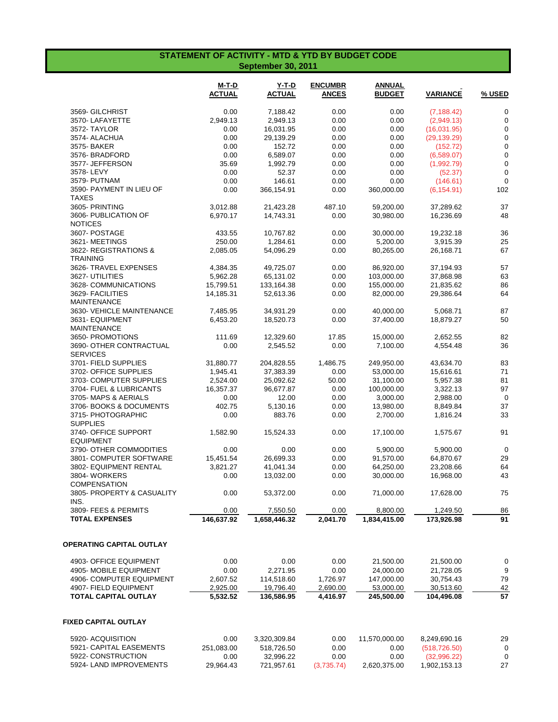## **STATEMENT OF ACTIVITY - MTD & YTD BY BUDGET CODE September 30, 2011**

|                                                   | M-T-D<br><b>ACTUAL</b> | Y-T-D<br><b>ACTUAL</b> | <b>ENCUMBR</b><br><b>ANCES</b> | <b>ANNUAL</b><br><b>BUDGET</b> | <b>VARIANCE</b> | <u>% USED</u> |
|---------------------------------------------------|------------------------|------------------------|--------------------------------|--------------------------------|-----------------|---------------|
| 3569- GILCHRIST                                   | 0.00                   | 7,188.42               | 0.00                           | 0.00                           | (7, 188.42)     | $\mathbf 0$   |
| 3570-LAFAYETTE                                    | 2,949.13               | 2,949.13               | 0.00                           | 0.00                           | (2,949.13)      | $\mathbf 0$   |
| 3572-TAYLOR                                       | 0.00                   | 16,031.95              | 0.00                           | 0.00                           | (16,031.95)     | 0             |
| 3574- ALACHUA                                     | 0.00                   | 29,139.29              | 0.00                           | 0.00                           | (29, 139.29)    | $\mathbf 0$   |
| 3575- BAKER                                       | 0.00                   | 152.72                 | 0.00                           | 0.00                           | (152.72)        | $\mathbf 0$   |
| 3576- BRADFORD                                    | 0.00                   | 6,589.07               | 0.00                           | 0.00                           | (6,589.07)      | 0             |
| 3577- JEFFERSON                                   | 35.69                  | 1,992.79               | 0.00                           | 0.00                           | (1,992.79)      | $\mathbf 0$   |
| 3578-LEVY                                         | 0.00                   | 52.37                  | 0.00                           | 0.00                           | (52.37)         | $\mathbf 0$   |
| 3579- PUTNAM                                      | 0.00                   | 146.61                 | 0.00                           | 0.00                           | (146.61)        | $\mathbf 0$   |
| 3590- PAYMENT IN LIEU OF<br>TAXES                 | 0.00                   | 366,154.91             | 0.00                           | 360,000.00                     | (6, 154.91)     | 102           |
| 3605- PRINTING                                    | 3,012.88               | 21,423.28              | 487.10                         | 59,200.00                      | 37,289.62       | 37            |
| 3606- PUBLICATION OF<br><b>NOTICES</b>            | 6,970.17               | 14,743.31              | 0.00                           | 30,980.00                      | 16,236.69       | 48            |
| 3607- POSTAGE                                     | 433.55                 | 10,767.82              | 0.00                           | 30,000.00                      | 19,232.18       | 36            |
| 3621-MEETINGS                                     | 250.00                 | 1,284.61               | 0.00                           | 5,200.00                       | 3,915.39        | 25            |
| 3622- REGISTRATIONS &<br><b>TRAINING</b>          | 2,085.05               | 54,096.29              | 0.00                           | 80,265.00                      | 26,168.71       | 67            |
| 3626- TRAVEL EXPENSES                             | 4,384.35               | 49,725.07              | 0.00                           | 86,920.00                      | 37,194.93       | 57            |
| 3627- UTILITIES                                   | 5,962.28               | 65,131.02              | 0.00                           | 103,000.00                     | 37,868.98       | 63            |
| 3628- COMMUNICATIONS                              | 15,799.51              | 133,164.38             | 0.00                           | 155,000.00                     | 21,835.62       | 86            |
| 3629- FACILITIES<br><b>MAINTENANCE</b>            | 14,185.31              | 52,613.36              | 0.00                           | 82,000.00                      | 29,386.64       | 64            |
| 3630- VEHICLE MAINTENANCE                         | 7,485.95               | 34,931.29              | 0.00                           | 40,000.00                      | 5,068.71        | 87            |
| 3631- EQUIPMENT<br><b>MAINTENANCE</b>             | 6,453.20               | 18,520.73              | 0.00                           | 37,400.00                      | 18,879.27       | 50            |
| 3650- PROMOTIONS                                  | 111.69                 | 12,329.60              | 17.85                          | 15,000.00                      | 2,652.55        | 82            |
| 3690- OTHER CONTRACTUAL<br><b>SERVICES</b>        | 0.00                   | 2,545.52               | 0.00                           | 7,100.00                       | 4,554.48        | 36            |
| 3701- FIELD SUPPLIES                              | 31,880.77              | 204,828.55             | 1,486.75                       | 249,950.00                     | 43,634.70       | 83            |
| 3702- OFFICE SUPPLIES                             | 1,945.41               | 37,383.39              | 0.00                           | 53,000.00                      | 15,616.61       | 71            |
| 3703- COMPUTER SUPPLIES                           | 2,524.00               | 25,092.62              | 50.00                          | 31,100.00                      | 5,957.38        | 81            |
| 3704- FUEL & LUBRICANTS                           | 16,357.37              | 96,677.87              | 0.00                           | 100,000.00                     | 3,322.13        | 97            |
| 3705-MAPS & AERIALS                               | 0.00                   | 12.00                  | 0.00                           | 3,000.00                       | 2,988.00        | $\mathbf 0$   |
| 3706- BOOKS & DOCUMENTS                           | 402.75                 | 5,130.16               | 0.00                           | 13,980.00                      | 8,849.84        | 37            |
| 3715- PHOTOGRAPHIC<br><b>SUPPLIES</b>             | 0.00                   | 883.76                 | 0.00                           | 2,700.00                       | 1,816.24        | 33            |
| 3740- OFFICE SUPPORT<br><b>EQUIPMENT</b>          | 1,582.90               | 15,524.33              | 0.00                           | 17,100.00                      | 1,575.67        | 91            |
| 3790- OTHER COMMODITIES                           | 0.00                   | 0.00                   | 0.00                           | 5,900.00                       | 5,900.00        | 0             |
| 3801- COMPUTER SOFTWARE                           | 15,451.54              | 26,699.33              | 0.00                           | 91,570.00                      | 64,870.67       | 29            |
| 3802- EQUIPMENT RENTAL                            | 3,821.27               | 41,041.34              | 0.00                           | 64,250.00                      | 23,208.66       | 64            |
| 3804-WORKERS                                      | 0.00                   | 13,032.00              | 0.00                           | 30,000.00                      | 16,968.00       | 43            |
| <b>COMPENSATION</b><br>3805- PROPERTY & CASUALITY | 0.00                   | 53,372.00              | 0.00                           | 71,000.00                      | 17,628.00       | 75            |
| INS.                                              |                        |                        |                                |                                |                 |               |
| 3809- FEES & PERMITS                              | 0.00                   | 7,550.50               | 0.00                           | 8,800.00                       | 1,249.50        | 86            |
| <b>TOTAL EXPENSES</b>                             | 146,637.92             | 1,658,446.32           | 2,041.70                       | 1,834,415.00                   | 173,926.98      | 91            |
| OPERATING CAPITAL OUTLAY                          |                        |                        |                                |                                |                 |               |
| 4903- OFFICE EQUIPMENT                            | 0.00                   | 0.00                   | 0.00                           | 21,500.00                      | 21,500.00       | 0             |
| 4905- MOBILE EQUIPMENT                            | 0.00                   | 2,271.95               | 0.00                           | 24,000.00                      | 21,728.05       | 9             |
| 4906- COMPUTER EQUIPMENT                          | 2,607.52               | 114,518.60             | 1,726.97                       | 147,000.00                     | 30,754.43       | 79            |
| 4907- FIELD EQUIPMENT                             | 2,925.00               | 19,796.40              | 2,690.00                       | 53,000.00                      | 30,513.60       | 42            |
| TOTAL CAPITAL OUTLAY                              | 5,532.52               | 136,586.95             | 4,416.97                       | 245,500.00                     | 104,496.08      | 57            |
| <b>FIXED CAPITAL OUTLAY</b>                       |                        |                        |                                |                                |                 |               |
| 5920- ACQUISITION                                 | 0.00                   | 3,320,309.84           | 0.00                           | 11,570,000.00                  | 8,249,690.16    | 29            |
| 5921- CAPITAL EASEMENTS                           | 251,083.00             | 518,726.50             | 0.00                           | 0.00                           | (518, 726.50)   | 0             |
| 5922- CONSTRUCTION                                | 0.00                   | 32,996.22              | 0.00                           | 0.00                           | (32,996.22)     | 0             |
| 5924- LAND IMPROVEMENTS                           | 29,964.43              | 721,957.61             | (3,735.74)                     | 2,620,375.00                   | 1,902,153.13    | 27            |